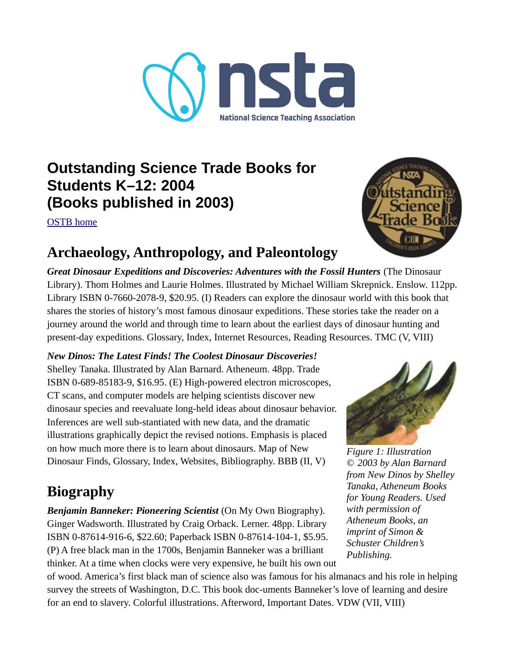

# **Outstanding Science Trade Books for Students K–12: 2004 (Books published in 2003)**

[OSTB home](https://www.nsta.org/outstanding-science-trade-books-students-k-12)



## **Archaeology, Anthropology, and Paleontology**

*Great Dinosaur Expeditions and Discoveries: Adventures with the Fossil Hunters* (The Dinosaur Library). Thom Holmes and Laurie Holmes. Illustrated by Michael William Skrepnick. Enslow. 112pp. Library ISBN 0-7660-2078-9, \$20.95. (I) Readers can explore the dinosaur world with this book that shares the stories of history's most famous dinosaur expeditions. These stories take the reader on a journey around the world and through time to learn about the earliest days of dinosaur hunting and present-day expeditions. Glossary, Index, Internet Resources, Reading Resources. TMC (V, VIII)

*New Dinos: The Latest Finds! The Coolest Dinosaur Discoveries!* Shelley Tanaka. Illustrated by Alan Barnard. Atheneum. 48pp. Trade ISBN 0-689-85183-9, \$16.95. (E) High-powered electron microscopes, CT scans, and computer models are helping scientists discover new dinosaur species and reevaluate long-held ideas about dinosaur behavior. Inferences are well sub-stantiated with new data, and the dramatic illustrations graphically depict the revised notions. Emphasis is placed on how much more there is to learn about dinosaurs. Map of New Dinosaur Finds, Glossary, Index, Websites, Bibliography. BBB (II, V)

# **Biography**

*Benjamin Banneker: Pioneering Scientist* (On My Own Biography). Ginger Wadsworth. Illustrated by Craig Orback. Lerner. 48pp. Library ISBN 0-87614-916-6, \$22.60; Paperback ISBN 0-87614-104-1, \$5.95. (P) A free black man in the 1700s, Benjamin Banneker was a brilliant thinker. At a time when clocks were very expensive, he built his own out



*Figure 1: Illustration © 2003 by Alan Barnard from New Dinos by Shelley Tanaka, Atheneum Books for Young Readers. Used with permission of Atheneum Books, an imprint of Simon & Schuster Children's Publishing.*

of wood. America's first black man of science also was famous for his almanacs and his role in helping survey the streets of Washington, D.C. This book doc-uments Banneker's love of learning and desire for an end to slavery. Colorful illustrations. Afterword, Important Dates. VDW (VII, VIII)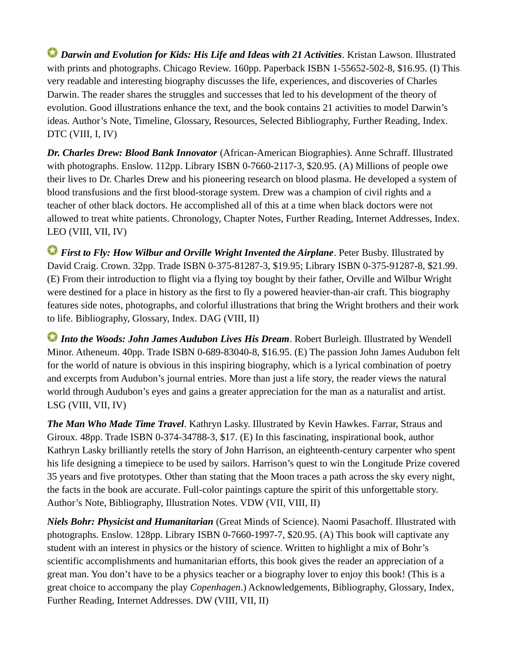*Darwin and Evolution for Kids: His Life and Ideas with 21 Activities*. Kristan Lawson. Illustrated with prints and photographs. Chicago Review. 160pp. Paperback ISBN 1-55652-502-8, \$16.95. (I) This very readable and interesting biography discusses the life, experiences, and discoveries of Charles Darwin. The reader shares the struggles and successes that led to his development of the theory of evolution. Good illustrations enhance the text, and the book contains 21 activities to model Darwin's ideas. Author's Note, Timeline, Glossary, Resources, Selected Bibliography, Further Reading, Index. DTC (VIII, I, IV)

*Dr. Charles Drew: Blood Bank Innovator* (African-American Biographies). Anne Schraff. Illustrated with photographs. Enslow. 112pp. Library ISBN 0-7660-2117-3, \$20.95. (A) Millions of people owe their lives to Dr. Charles Drew and his pioneering research on blood plasma. He developed a system of blood transfusions and the first blood-storage system. Drew was a champion of civil rights and a teacher of other black doctors. He accomplished all of this at a time when black doctors were not allowed to treat white patients. Chronology, Chapter Notes, Further Reading, Internet Addresses, Index. LEO (VIII, VII, IV)

*First to Fly: How Wilbur and Orville Wright Invented the Airplane. Peter Busby. Illustrated by* David Craig. Crown. 32pp. Trade ISBN 0-375-81287-3, \$19.95; Library ISBN 0-375-91287-8, \$21.99. (E) From their introduction to flight via a flying toy bought by their father, Orville and Wilbur Wright were destined for a place in history as the first to fly a powered heavier-than-air craft. This biography features side notes, photographs, and colorful illustrations that bring the Wright brothers and their work to life. Bibliography, Glossary, Index. DAG (VIII, II)

*Into the Woods: John James Audubon Lives His Dream*. Robert Burleigh. Illustrated by Wendell Minor. Atheneum. 40pp. Trade ISBN 0-689-83040-8, \$16.95. (E) The passion John James Audubon felt for the world of nature is obvious in this inspiring biography, which is a lyrical combination of poetry and excerpts from Audubon's journal entries. More than just a life story, the reader views the natural world through Audubon's eyes and gains a greater appreciation for the man as a naturalist and artist. LSG (VIII, VII, IV)

*The Man Who Made Time Travel*. Kathryn Lasky. Illustrated by Kevin Hawkes. Farrar, Straus and Giroux. 48pp. Trade ISBN 0-374-34788-3, \$17. (E) In this fascinating, inspirational book, author Kathryn Lasky brilliantly retells the story of John Harrison, an eighteenth-century carpenter who spent his life designing a timepiece to be used by sailors. Harrison's quest to win the Longitude Prize covered 35 years and five prototypes. Other than stating that the Moon traces a path across the sky every night, the facts in the book are accurate. Full-color paintings capture the spirit of this unforgettable story. Author's Note, Bibliography, Illustration Notes. VDW (VII, VIII, II)

*Niels Bohr: Physicist and Humanitarian* (Great Minds of Science). Naomi Pasachoff. Illustrated with photographs. Enslow. 128pp. Library ISBN 0-7660-1997-7, \$20.95. (A) This book will captivate any student with an interest in physics or the history of science. Written to highlight a mix of Bohr's scientific accomplishments and humanitarian efforts, this book gives the reader an appreciation of a great man. You don't have to be a physics teacher or a biography lover to enjoy this book! (This is a great choice to accompany the play *Copenhagen*.) Acknowledgements, Bibliography, Glossary, Index, Further Reading, Internet Addresses. DW (VIII, VII, II)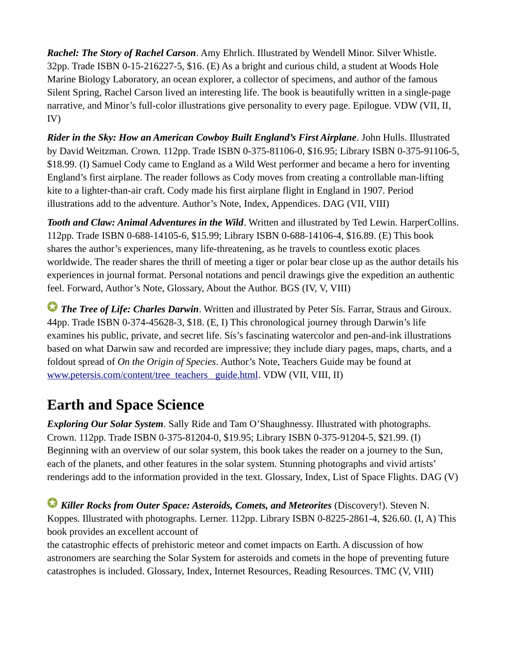*Rachel: The Story of Rachel Carson*. Amy Ehrlich. Illustrated by Wendell Minor. Silver Whistle. 32pp. Trade ISBN 0-15-216227-5, \$16. (E) As a bright and curious child, a student at Woods Hole Marine Biology Laboratory, an ocean explorer, a collector of specimens, and author of the famous Silent Spring, Rachel Carson lived an interesting life. The book is beautifully written in a single-page narrative, and Minor's full-color illustrations give personality to every page. Epilogue. VDW (VII, II, IV)

*Rider in the Sky: How an American Cowboy Built England's First Airplane*. John Hulls. Illustrated by David Weitzman. Crown. 112pp. Trade ISBN 0-375-81106-0, \$16.95; Library ISBN 0-375-91106-5, \$18.99. (I) Samuel Cody came to England as a Wild West performer and became a hero for inventing England's first airplane. The reader follows as Cody moves from creating a controllable man-lifting kite to a lighter-than-air craft. Cody made his first airplane flight in England in 1907. Period illustrations add to the adventure. Author's Note, Index, Appendices. DAG (VII, VIII)

*Tooth and Claw: Animal Adventures in the Wild*. Written and illustrated by Ted Lewin. HarperCollins. 112pp. Trade ISBN 0-688-14105-6, \$15.99; Library ISBN 0-688-14106-4, \$16.89. (E) This book shares the author's experiences, many life-threatening, as he travels to countless exotic places worldwide. The reader shares the thrill of meeting a tiger or polar bear close up as the author details his experiences in journal format. Personal notations and pencil drawings give the expedition an authentic feel. Forward, Author's Note, Glossary, About the Author. BGS (IV, V, VIII)

**The Tree of Life: Charles Darwin**. Written and illustrated by Peter Sís. Farrar, Straus and Giroux. 44pp. Trade ISBN 0-374-45628-3, \$18. (E, I) This chronological journey through Darwin's life examines his public, private, and secret life. Sís's fascinating watercolor and pen-and-ink illustrations based on what Darwin saw and recorded are impressive; they include diary pages, maps, charts, and a foldout spread of *On the Origin of Species*. Author's Note, Teachers Guide may be found at [www.petersis.com/content/tree\\_teachers\\_ guide.html](http://www.petersis.com/content/tree_teachers_%20guide.html). VDW (VII, VIII, II)

## **Earth and Space Science**

*Exploring Our Solar System*. Sally Ride and Tam O'Shaughnessy. Illustrated with photographs. Crown. 112pp. Trade ISBN 0-375-81204-0, \$19.95; Library ISBN 0-375-91204-5, \$21.99. (I) Beginning with an overview of our solar system, this book takes the reader on a journey to the Sun, each of the planets, and other features in the solar system. Stunning photographs and vivid artists' renderings add to the information provided in the text. Glossary, Index, List of Space Flights. DAG (V)

*Killer Rocks from Outer Space: Asteroids, Comets, and Meteorites* (Discovery!). Steven N. Koppes. Illustrated with photographs. Lerner. 112pp. Library ISBN 0-8225-2861-4, \$26.60. (I, A) This book provides an excellent account of

the catastrophic effects of prehistoric meteor and comet impacts on Earth. A discussion of how astronomers are searching the Solar System for asteroids and comets in the hope of preventing future catastrophes is included. Glossary, Index, Internet Resources, Reading Resources. TMC (V, VIII)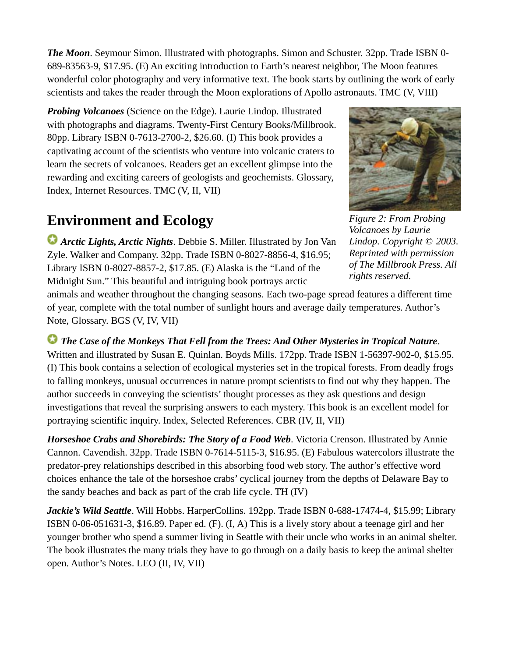*The Moon*. Seymour Simon. Illustrated with photographs. Simon and Schuster. 32pp. Trade ISBN 0- 689-83563-9, \$17.95. (E) An exciting introduction to Earth's nearest neighbor, The Moon features wonderful color photography and very informative text. The book starts by outlining the work of early scientists and takes the reader through the Moon explorations of Apollo astronauts. TMC (V, VIII)

*Probing Volcanoes* (Science on the Edge). Laurie Lindop. Illustrated with photographs and diagrams. Twenty-First Century Books/Millbrook. 80pp. Library ISBN 0-7613-2700-2, \$26.60. (I) This book provides a captivating account of the scientists who venture into volcanic craters to learn the secrets of volcanoes. Readers get an excellent glimpse into the rewarding and exciting careers of geologists and geochemists. Glossary, Index, Internet Resources. TMC (V, II, VII)

## **Environment and Ecology**

*Arctic Lights, Arctic Nights*. Debbie S. Miller. Illustrated by Jon Van Zyle. Walker and Company. 32pp. Trade ISBN 0-8027-8856-4, \$16.95; Library ISBN 0-8027-8857-2, \$17.85. (E) Alaska is the "Land of the Midnight Sun." This beautiful and intriguing book portrays arctic



*Figure 2: From Probing Volcanoes by Laurie Lindop. Copyright © 2003. Reprinted with permission of The Millbrook Press. All rights reserved.*

animals and weather throughout the changing seasons. Each two-page spread features a different time of year, complete with the total number of sunlight hours and average daily temperatures. Author's Note, Glossary. BGS (V, IV, VII)

 *The Case of the Monkeys That Fell from the Trees: And Other Mysteries in Tropical Nature*. Written and illustrated by Susan E. Quinlan. Boyds Mills. 172pp. Trade ISBN 1-56397-902-0, \$15.95. (I) This book contains a selection of ecological mysteries set in the tropical forests. From deadly frogs to falling monkeys, unusual occurrences in nature prompt scientists to find out why they happen. The author succeeds in conveying the scientists' thought processes as they ask questions and design investigations that reveal the surprising answers to each mystery. This book is an excellent model for portraying scientific inquiry. Index, Selected References. CBR (IV, II, VII)

*Horseshoe Crabs and Shorebirds: The Story of a Food Web*. Victoria Crenson. Illustrated by Annie Cannon. Cavendish. 32pp. Trade ISBN 0-7614-5115-3, \$16.95. (E) Fabulous watercolors illustrate the predator-prey relationships described in this absorbing food web story. The author's effective word choices enhance the tale of the horseshoe crabs' cyclical journey from the depths of Delaware Bay to the sandy beaches and back as part of the crab life cycle. TH (IV)

Jackie's Wild Seattle. Will Hobbs. HarperCollins. 192pp. Trade ISBN 0-688-17474-4, \$15.99; Library ISBN 0-06-051631-3, \$16.89. Paper ed. (F). (I, A) This is a lively story about a teenage girl and her younger brother who spend a summer living in Seattle with their uncle who works in an animal shelter. The book illustrates the many trials they have to go through on a daily basis to keep the animal shelter open. Author's Notes. LEO (II, IV, VII)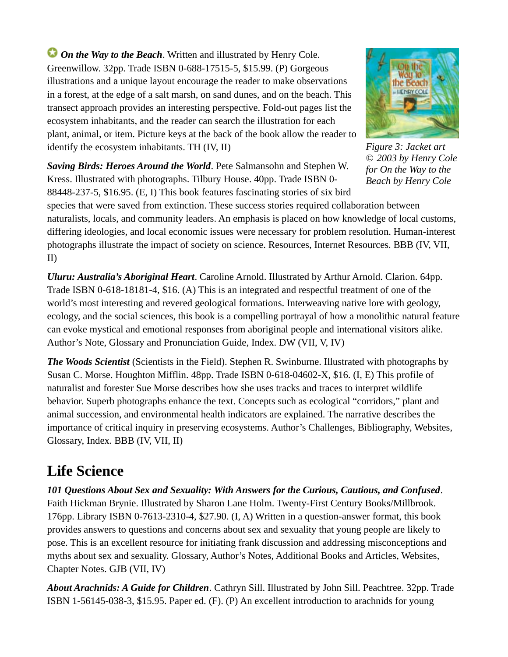*On the Way to the Beach.* Written and illustrated by Henry Cole. Greenwillow. 32pp. Trade ISBN 0-688-17515-5, \$15.99. (P) Gorgeous illustrations and a unique layout encourage the reader to make observations in a forest, at the edge of a salt marsh, on sand dunes, and on the beach. This transect approach provides an interesting perspective. Fold-out pages list the ecosystem inhabitants, and the reader can search the illustration for each plant, animal, or item. Picture keys at the back of the book allow the reader to identify the ecosystem inhabitants. TH (IV, II)



*Figure 3: Jacket art © 2003 by Henry Cole for On the Way to the Beach by Henry Cole*

*Saving Birds: Heroes Around the World*. Pete Salmansohn and Stephen W. Kress. Illustrated with photographs. Tilbury House. 40pp. Trade ISBN 0- 88448-237-5, \$16.95. (E, I) This book features fascinating stories of six bird

species that were saved from extinction. These success stories required collaboration between naturalists, locals, and community leaders. An emphasis is placed on how knowledge of local customs, differing ideologies, and local economic issues were necessary for problem resolution. Human-interest photographs illustrate the impact of society on science. Resources, Internet Resources. BBB (IV, VII, II)

*Uluru: Australia's Aboriginal Heart*. Caroline Arnold. Illustrated by Arthur Arnold. Clarion. 64pp. Trade ISBN 0-618-18181-4, \$16. (A) This is an integrated and respectful treatment of one of the world's most interesting and revered geological formations. Interweaving native lore with geology, ecology, and the social sciences, this book is a compelling portrayal of how a monolithic natural feature can evoke mystical and emotional responses from aboriginal people and international visitors alike. Author's Note, Glossary and Pronunciation Guide, Index. DW (VII, V, IV)

*The Woods Scientist* (Scientists in the Field). Stephen R. Swinburne. Illustrated with photographs by Susan C. Morse. Houghton Mifflin. 48pp. Trade ISBN 0-618-04602-X, \$16. (I, E) This profile of naturalist and forester Sue Morse describes how she uses tracks and traces to interpret wildlife behavior. Superb photographs enhance the text. Concepts such as ecological "corridors," plant and animal succession, and environmental health indicators are explained. The narrative describes the importance of critical inquiry in preserving ecosystems. Author's Challenges, Bibliography, Websites, Glossary, Index. BBB (IV, VII, II)

### **Life Science**

*101 Questions About Sex and Sexuality: With Answers for the Curious, Cautious, and Confused*. Faith Hickman Brynie. Illustrated by Sharon Lane Holm. Twenty-First Century Books/Millbrook. 176pp. Library ISBN 0-7613-2310-4, \$27.90. (I, A) Written in a question-answer format, this book provides answers to questions and concerns about sex and sexuality that young people are likely to pose. This is an excellent resource for initiating frank discussion and addressing misconceptions and myths about sex and sexuality. Glossary, Author's Notes, Additional Books and Articles, Websites, Chapter Notes. GJB (VII, IV)

*About Arachnids: A Guide for Children*. Cathryn Sill. Illustrated by John Sill. Peachtree. 32pp. Trade ISBN 1-56145-038-3, \$15.95. Paper ed. (F). (P) An excellent introduction to arachnids for young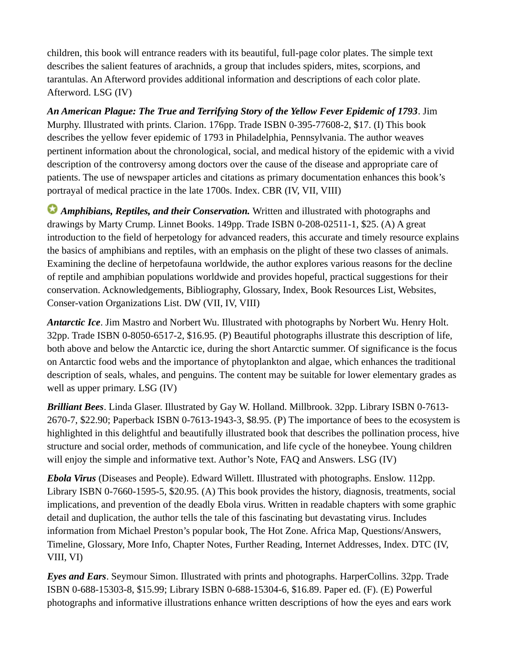children, this book will entrance readers with its beautiful, full-page color plates. The simple text describes the salient features of arachnids, a group that includes spiders, mites, scorpions, and tarantulas. An Afterword provides additional information and descriptions of each color plate. Afterword. LSG (IV)

*An American Plague: The True and Terrifying Story of the Yellow Fever Epidemic of 1793*. Jim Murphy. Illustrated with prints. Clarion. 176pp. Trade ISBN 0-395-77608-2, \$17. (I) This book describes the yellow fever epidemic of 1793 in Philadelphia, Pennsylvania. The author weaves pertinent information about the chronological, social, and medical history of the epidemic with a vivid description of the controversy among doctors over the cause of the disease and appropriate care of patients. The use of newspaper articles and citations as primary documentation enhances this book's portrayal of medical practice in the late 1700s. Index. CBR (IV, VII, VIII)

*Amphibians, Reptiles, and their Conservation.* Written and illustrated with photographs and drawings by Marty Crump. Linnet Books. 149pp. Trade ISBN 0-208-02511-1, \$25. (A) A great introduction to the field of herpetology for advanced readers, this accurate and timely resource explains the basics of amphibians and reptiles, with an emphasis on the plight of these two classes of animals. Examining the decline of herpetofauna worldwide, the author explores various reasons for the decline of reptile and amphibian populations worldwide and provides hopeful, practical suggestions for their conservation. Acknowledgements, Bibliography, Glossary, Index, Book Resources List, Websites, Conser-vation Organizations List. DW (VII, IV, VIII)

*Antarctic Ice*. Jim Mastro and Norbert Wu. Illustrated with photographs by Norbert Wu. Henry Holt. 32pp. Trade ISBN 0-8050-6517-2, \$16.95. (P) Beautiful photographs illustrate this description of life, both above and below the Antarctic ice, during the short Antarctic summer. Of significance is the focus on Antarctic food webs and the importance of phytoplankton and algae, which enhances the traditional description of seals, whales, and penguins. The content may be suitable for lower elementary grades as well as upper primary. LSG (IV)

*Brilliant Bees*. Linda Glaser. Illustrated by Gay W. Holland. Millbrook. 32pp. Library ISBN 0-7613- 2670-7, \$22.90; Paperback ISBN 0-7613-1943-3, \$8.95. (P) The importance of bees to the ecosystem is highlighted in this delightful and beautifully illustrated book that describes the pollination process, hive structure and social order, methods of communication, and life cycle of the honeybee. Young children will enjoy the simple and informative text. Author's Note, FAQ and Answers. LSG (IV)

*Ebola Virus* (Diseases and People). Edward Willett. Illustrated with photographs. Enslow. 112pp. Library ISBN 0-7660-1595-5, \$20.95. (A) This book provides the history, diagnosis, treatments, social implications, and prevention of the deadly Ebola virus. Written in readable chapters with some graphic detail and duplication, the author tells the tale of this fascinating but devastating virus. Includes information from Michael Preston's popular book, The Hot Zone. Africa Map, Questions/Answers, Timeline, Glossary, More Info, Chapter Notes, Further Reading, Internet Addresses, Index. DTC (IV, VIII, VI)

*Eyes and Ears*. Seymour Simon. Illustrated with prints and photographs. HarperCollins. 32pp. Trade ISBN 0-688-15303-8, \$15.99; Library ISBN 0-688-15304-6, \$16.89. Paper ed. (F). (E) Powerful photographs and informative illustrations enhance written descriptions of how the eyes and ears work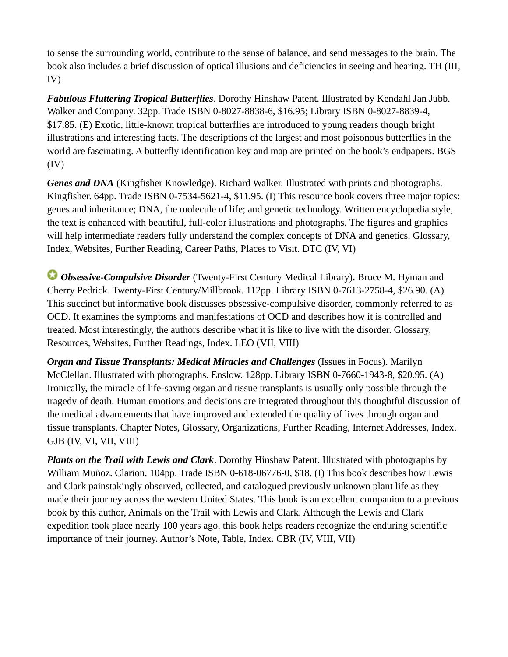to sense the surrounding world, contribute to the sense of balance, and send messages to the brain. The book also includes a brief discussion of optical illusions and deficiencies in seeing and hearing. TH (III, IV)

*Fabulous Fluttering Tropical Butterflies*. Dorothy Hinshaw Patent. Illustrated by Kendahl Jan Jubb. Walker and Company. 32pp. Trade ISBN 0-8027-8838-6, \$16.95; Library ISBN 0-8027-8839-4, \$17.85. (E) Exotic, little-known tropical butterflies are introduced to young readers though bright illustrations and interesting facts. The descriptions of the largest and most poisonous butterflies in the world are fascinating. A butterfly identification key and map are printed on the book's endpapers. BGS (IV)

*Genes and DNA* (Kingfisher Knowledge). Richard Walker. Illustrated with prints and photographs. Kingfisher. 64pp. Trade ISBN 0-7534-5621-4, \$11.95. (I) This resource book covers three major topics: genes and inheritance; DNA, the molecule of life; and genetic technology. Written encyclopedia style, the text is enhanced with beautiful, full-color illustrations and photographs. The figures and graphics will help intermediate readers fully understand the complex concepts of DNA and genetics. Glossary, Index, Websites, Further Reading, Career Paths, Places to Visit. DTC (IV, VI)

 *Obsessive-Compulsive Disorder* (Twenty-First Century Medical Library). Bruce M. Hyman and Cherry Pedrick. Twenty-First Century/Millbrook. 112pp. Library ISBN 0-7613-2758-4, \$26.90. (A) This succinct but informative book discusses obsessive-compulsive disorder, commonly referred to as OCD. It examines the symptoms and manifestations of OCD and describes how it is controlled and treated. Most interestingly, the authors describe what it is like to live with the disorder. Glossary, Resources, Websites, Further Readings, Index. LEO (VII, VIII)

*Organ and Tissue Transplants: Medical Miracles and Challenges* (Issues in Focus). Marilyn McClellan. Illustrated with photographs. Enslow. 128pp. Library ISBN 0-7660-1943-8, \$20.95. (A) Ironically, the miracle of life-saving organ and tissue transplants is usually only possible through the tragedy of death. Human emotions and decisions are integrated throughout this thoughtful discussion of the medical advancements that have improved and extended the quality of lives through organ and tissue transplants. Chapter Notes, Glossary, Organizations, Further Reading, Internet Addresses, Index. GJB (IV, VI, VII, VIII)

*Plants on the Trail with Lewis and Clark*. Dorothy Hinshaw Patent. Illustrated with photographs by William Muñoz. Clarion. 104pp. Trade ISBN 0-618-06776-0, \$18. (I) This book describes how Lewis and Clark painstakingly observed, collected, and catalogued previously unknown plant life as they made their journey across the western United States. This book is an excellent companion to a previous book by this author, Animals on the Trail with Lewis and Clark. Although the Lewis and Clark expedition took place nearly 100 years ago, this book helps readers recognize the enduring scientific importance of their journey. Author's Note, Table, Index. CBR (IV, VIII, VII)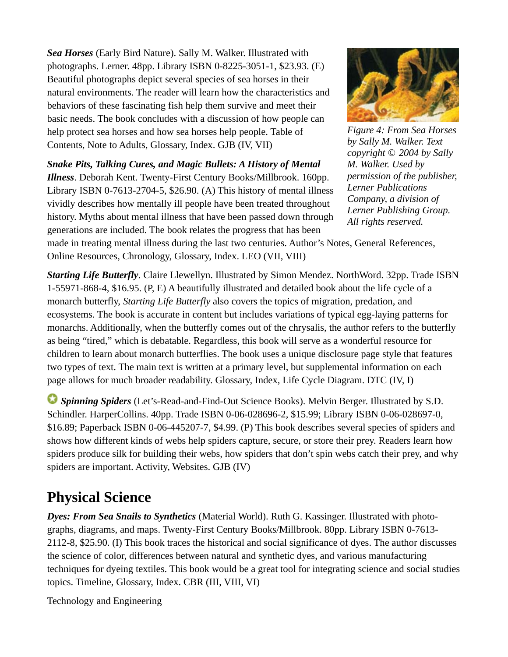*Sea Horses* (Early Bird Nature). Sally M. Walker. Illustrated with photographs. Lerner. 48pp. Library ISBN 0-8225-3051-1, \$23.93. (E) Beautiful photographs depict several species of sea horses in their natural environments. The reader will learn how the characteristics and behaviors of these fascinating fish help them survive and meet their basic needs. The book concludes with a discussion of how people can help protect sea horses and how sea horses help people. Table of Contents, Note to Adults, Glossary, Index. GJB (IV, VII)

*Snake Pits, Talking Cures, and Magic Bullets: A History of Mental Illness*. Deborah Kent. Twenty-First Century Books/Millbrook. 160pp. Library ISBN 0-7613-2704-5, \$26.90. (A) This history of mental illness vividly describes how mentally ill people have been treated throughout history. Myths about mental illness that have been passed down through generations are included. The book relates the progress that has been



*Figure 4: From Sea Horses by Sally M. Walker. Text copyright © 2004 by Sally M. Walker. Used by permission of the publisher, Lerner Publications Company, a division of Lerner Publishing Group. All rights reserved.*

made in treating mental illness during the last two centuries. Author's Notes, General References, Online Resources, Chronology, Glossary, Index. LEO (VII, VIII)

*Starting Life Butterfly*. Claire Llewellyn. Illustrated by Simon Mendez. NorthWord. 32pp. Trade ISBN 1-55971-868-4, \$16.95. (P, E) A beautifully illustrated and detailed book about the life cycle of a monarch butterfly, *Starting Life Butterfly* also covers the topics of migration, predation, and ecosystems. The book is accurate in content but includes variations of typical egg-laying patterns for monarchs. Additionally, when the butterfly comes out of the chrysalis, the author refers to the butterfly as being "tired," which is debatable. Regardless, this book will serve as a wonderful resource for children to learn about monarch butterflies. The book uses a unique disclosure page style that features two types of text. The main text is written at a primary level, but supplemental information on each page allows for much broader readability. Glossary, Index, Life Cycle Diagram. DTC (IV, I)

 *Spinning Spiders* (Let's-Read-and-Find-Out Science Books). Melvin Berger. Illustrated by S.D. Schindler. HarperCollins. 40pp. Trade ISBN 0-06-028696-2, \$15.99; Library ISBN 0-06-028697-0, \$16.89; Paperback ISBN 0-06-445207-7, \$4.99. (P) This book describes several species of spiders and shows how different kinds of webs help spiders capture, secure, or store their prey. Readers learn how spiders produce silk for building their webs, how spiders that don't spin webs catch their prey, and why spiders are important. Activity, Websites. GJB (IV)

## **Physical Science**

*Dyes: From Sea Snails to Synthetics* (Material World). Ruth G. Kassinger. Illustrated with photographs, diagrams, and maps. Twenty-First Century Books/Millbrook. 80pp. Library ISBN 0-7613- 2112-8, \$25.90. (I) This book traces the historical and social significance of dyes. The author discusses the science of color, differences between natural and synthetic dyes, and various manufacturing techniques for dyeing textiles. This book would be a great tool for integrating science and social studies topics. Timeline, Glossary, Index. CBR (III, VIII, VI)

Technology and Engineering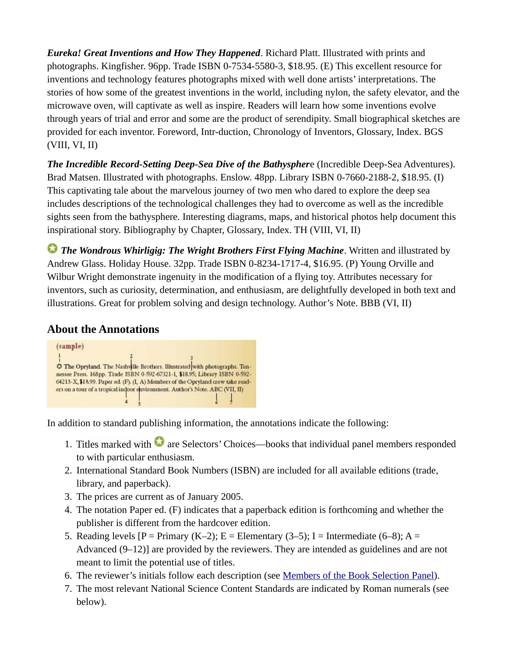*Eureka! Great Inventions and How They Happened*. Richard Platt. Illustrated with prints and photographs. Kingfisher. 96pp. Trade ISBN 0-7534-5580-3, \$18.95. (E) This excellent resource for inventions and technology features photographs mixed with well done artists' interpretations. The stories of how some of the greatest inventions in the world, including nylon, the safety elevator, and the microwave oven, will captivate as well as inspire. Readers will learn how some inventions evolve through years of trial and error and some are the product of serendipity. Small biographical sketches are provided for each inventor. Foreword, Intr-duction, Chronology of Inventors, Glossary, Index. BGS (VIII, VI, II)

*The Incredible Record-Setting Deep-Sea Dive of the Bathyspher*e (Incredible Deep-Sea Adventures). Brad Matsen. Illustrated with photographs. Enslow. 48pp. Library ISBN 0-7660-2188-2, \$18.95. (I) This captivating tale about the marvelous journey of two men who dared to explore the deep sea includes descriptions of the technological challenges they had to overcome as well as the incredible sights seen from the bathysphere. Interesting diagrams, maps, and historical photos help document this inspirational story. Bibliography by Chapter, Glossary, Index. TH (VIII, VI, II)

**The Wondrous Whirligig: The Wright Brothers First Flying Machine**. Written and illustrated by Andrew Glass. Holiday House. 32pp. Trade ISBN 0-8234-1717-4, \$16.95. (P) Young Orville and Wilbur Wright demonstrate ingenuity in the modification of a flying toy. Attributes necessary for inventors, such as curiosity, determination, and enthusiasm, are delightfully developed in both text and illustrations. Great for problem solving and design technology. Author's Note. BBB (VI, II)

### **About the Annotations**



In addition to standard publishing information, the annotations indicate the following:

- 1. Titles marked with  $\bullet$  are Selectors' Choices—books that individual panel members responded to with particular enthusiasm.
- 2. International Standard Book Numbers (ISBN) are included for all available editions (trade, library, and paperback).
- 3. The prices are current as of January 2005.
- 4. The notation Paper ed. (F) indicates that a paperback edition is forthcoming and whether the publisher is different from the hardcover edition.
- 5. Reading levels  $[P = Primary (K-2); E = Elementary (3-5); I = Intermediate (6-8); A =$ Advanced (9–12)] are provided by the reviewers. They are intended as guidelines and are not meant to limit the potential use of titles.
- 6. The reviewer's initials follow each description (see [Members of the Book Selection Panel](https://old.nsta.org/publications/ostb/ostb2004.aspx#panel)).
- 7. The most relevant National Science Content Standards are indicated by Roman numerals (see below).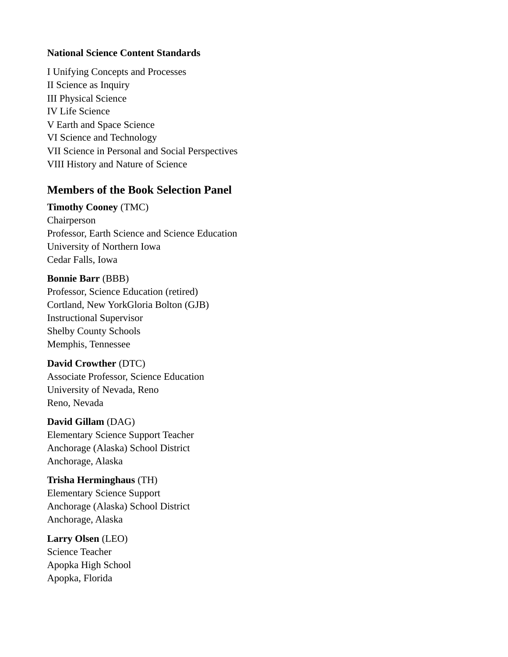#### **National Science Content Standards**

I Unifying Concepts and Processes II Science as Inquiry III Physical Science IV Life Science V Earth and Space Science VI Science and Technology VII Science in Personal and Social Perspectives VIII History and Nature of Science

### **Members of the Book Selection Panel**

#### **Timothy Cooney** (TMC)

Chairperson Professor, Earth Science and Science Education University of Northern Iowa Cedar Falls, Iowa

#### **Bonnie Barr** (BBB)

Professor, Science Education (retired) Cortland, New YorkGloria Bolton (GJB) Instructional Supervisor Shelby County Schools Memphis, Tennessee

#### **David Crowther** (DTC)

Associate Professor, Science Education University of Nevada, Reno Reno, Nevada

#### **David Gillam** (DAG)

Elementary Science Support Teacher Anchorage (Alaska) School District Anchorage, Alaska

#### **Trisha Herminghaus** (TH)

Elementary Science Support Anchorage (Alaska) School District Anchorage, Alaska

#### **Larry Olsen** (LEO) Science Teacher

Apopka High School Apopka, Florida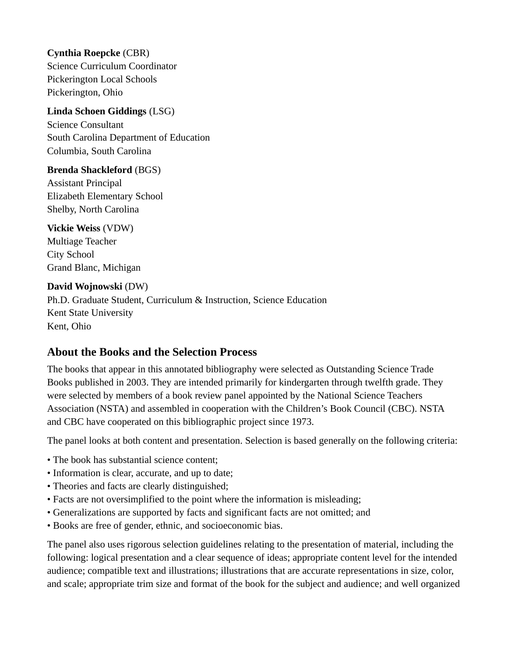#### **Cynthia Roepcke** (CBR)

Science Curriculum Coordinator Pickerington Local Schools Pickerington, Ohio

### **Linda Schoen Giddings** (LSG)

Science Consultant South Carolina Department of Education Columbia, South Carolina

#### **Brenda Shackleford** (BGS)

Assistant Principal Elizabeth Elementary School Shelby, North Carolina

### **Vickie Weiss** (VDW)

Multiage Teacher City School Grand Blanc, Michigan

#### **David Wojnowski** (DW)

Ph.D. Graduate Student, Curriculum & Instruction, Science Education Kent State University Kent, Ohio

### **About the Books and the Selection Process**

The books that appear in this annotated bibliography were selected as Outstanding Science Trade Books published in 2003. They are intended primarily for kindergarten through twelfth grade. They were selected by members of a book review panel appointed by the National Science Teachers Association (NSTA) and assembled in cooperation with the Children's Book Council (CBC). NSTA and CBC have cooperated on this bibliographic project since 1973.

The panel looks at both content and presentation. Selection is based generally on the following criteria:

- The book has substantial science content;
- Information is clear, accurate, and up to date;
- Theories and facts are clearly distinguished;
- Facts are not oversimplified to the point where the information is misleading;
- Generalizations are supported by facts and significant facts are not omitted; and
- Books are free of gender, ethnic, and socioeconomic bias.

The panel also uses rigorous selection guidelines relating to the presentation of material, including the following: logical presentation and a clear sequence of ideas; appropriate content level for the intended audience; compatible text and illustrations; illustrations that are accurate representations in size, color, and scale; appropriate trim size and format of the book for the subject and audience; and well organized